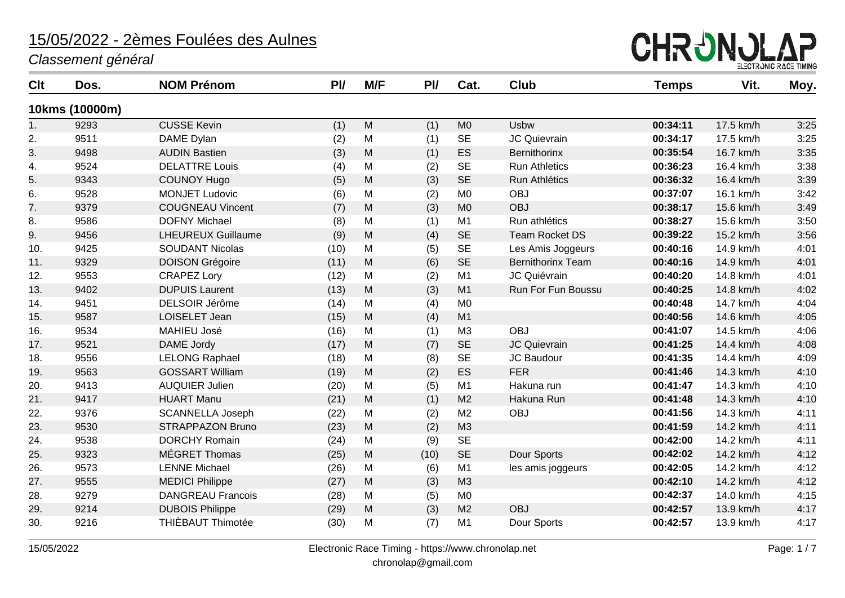

| Clt            | Dos.           | <b>NOM Prénom</b>         | P <sub>U</sub> | M/F       | PI/  | Cat.           | <b>Club</b>              | <b>Temps</b> | Vit.      | Moy. |
|----------------|----------------|---------------------------|----------------|-----------|------|----------------|--------------------------|--------------|-----------|------|
|                | 10kms (10000m) |                           |                |           |      |                |                          |              |           |      |
| 1 <sub>1</sub> | 9293           | <b>CUSSE Kevin</b>        | (1)            | ${\sf M}$ | (1)  | M <sub>0</sub> | <b>Usbw</b>              | 00:34:11     | 17.5 km/h | 3:25 |
| 2.             | 9511           | DAME Dylan                | (2)            | M         | (1)  | <b>SE</b>      | <b>JC Quievrain</b>      | 00:34:17     | 17.5 km/h | 3:25 |
| 3.             | 9498           | <b>AUDIN Bastien</b>      | (3)            | M         | (1)  | ES             | Bernithorinx             | 00:35:54     | 16.7 km/h | 3:35 |
| 4.             | 9524           | <b>DELATTRE Louis</b>     | (4)            | M         | (2)  | <b>SE</b>      | <b>Run Athletics</b>     | 00:36:23     | 16.4 km/h | 3:38 |
| 5.             | 9343           | <b>COUNOY Hugo</b>        | (5)            | M         | (3)  | <b>SE</b>      | Run Athlétics            | 00:36:32     | 16.4 km/h | 3:39 |
| 6.             | 9528           | <b>MONJET Ludovic</b>     | (6)            | M         | (2)  | M <sub>0</sub> | <b>OBJ</b>               | 00:37:07     | 16.1 km/h | 3:42 |
| 7.             | 9379           | <b>COUGNEAU Vincent</b>   | (7)            | M         | (3)  | M <sub>0</sub> | <b>OBJ</b>               | 00:38:17     | 15.6 km/h | 3:49 |
| 8.             | 9586           | <b>DOFNY Michael</b>      | (8)            | M         | (1)  | M1             | Run athlétics            | 00:38:27     | 15.6 km/h | 3:50 |
| 9.             | 9456           | <b>LHEUREUX Guillaume</b> | (9)            | M         | (4)  | <b>SE</b>      | <b>Team Rocket DS</b>    | 00:39:22     | 15.2 km/h | 3:56 |
| 10.            | 9425           | <b>SOUDANT Nicolas</b>    | (10)           | M         | (5)  | <b>SE</b>      | Les Amis Joggeurs        | 00:40:16     | 14.9 km/h | 4:01 |
| 11.            | 9329           | <b>DOISON Grégoire</b>    | (11)           | ${\sf M}$ | (6)  | <b>SE</b>      | <b>Bernithorinx Team</b> | 00:40:16     | 14.9 km/h | 4:01 |
| 12.            | 9553           | <b>CRAPEZ Lory</b>        | (12)           | M         | (2)  | M1             | JC Quiévrain             | 00:40:20     | 14.8 km/h | 4:01 |
| 13.            | 9402           | <b>DUPUIS Laurent</b>     | (13)           | M         | (3)  | M1             | Run For Fun Boussu       | 00:40:25     | 14.8 km/h | 4:02 |
| 14.            | 9451           | DELSOIR Jérôme            | (14)           | M         | (4)  | M <sub>0</sub> |                          | 00:40:48     | 14.7 km/h | 4:04 |
| 15.            | 9587           | LOISELET Jean             | (15)           | M         | (4)  | M1             |                          | 00:40:56     | 14.6 km/h | 4:05 |
| 16.            | 9534           | <b>MAHIEU José</b>        | (16)           | M         | (1)  | M3             | <b>OBJ</b>               | 00:41:07     | 14.5 km/h | 4:06 |
| 17.            | 9521           | DAME Jordy                | (17)           | M         | (7)  | <b>SE</b>      | JC Quievrain             | 00:41:25     | 14.4 km/h | 4:08 |
| 18.            | 9556           | <b>LELONG Raphael</b>     | (18)           | M         | (8)  | <b>SE</b>      | JC Baudour               | 00:41:35     | 14.4 km/h | 4:09 |
| 19.            | 9563           | <b>GOSSART William</b>    | (19)           | M         | (2)  | ES             | <b>FER</b>               | 00:41:46     | 14.3 km/h | 4:10 |
| 20.            | 9413           | <b>AUQUIER Julien</b>     | (20)           | M         | (5)  | M <sub>1</sub> | Hakuna run               | 00:41:47     | 14.3 km/h | 4:10 |
| 21.            | 9417           | <b>HUART Manu</b>         | (21)           | M         | (1)  | M <sub>2</sub> | Hakuna Run               | 00:41:48     | 14.3 km/h | 4:10 |
| 22.            | 9376           | <b>SCANNELLA Joseph</b>   | (22)           | M         | (2)  | M <sub>2</sub> | <b>OBJ</b>               | 00:41:56     | 14.3 km/h | 4:11 |
| 23.            | 9530           | <b>STRAPPAZON Bruno</b>   | (23)           | M         | (2)  | M3             |                          | 00:41:59     | 14.2 km/h | 4:11 |
| 24.            | 9538           | <b>DORCHY Romain</b>      | (24)           | M         | (9)  | <b>SE</b>      |                          | 00:42:00     | 14.2 km/h | 4:11 |
| 25.            | 9323           | MÉGRET Thomas             | (25)           | ${\sf M}$ | (10) | <b>SE</b>      | Dour Sports              | 00:42:02     | 14.2 km/h | 4:12 |
| 26.            | 9573           | <b>LENNE Michael</b>      | (26)           | M         | (6)  | M1             | les amis joggeurs        | 00:42:05     | 14.2 km/h | 4:12 |
| 27.            | 9555           | <b>MEDICI Philippe</b>    | (27)           | M         | (3)  | M3             |                          | 00:42:10     | 14.2 km/h | 4:12 |
| 28.            | 9279           | <b>DANGREAU Francois</b>  | (28)           | M         | (5)  | M <sub>0</sub> |                          | 00:42:37     | 14.0 km/h | 4:15 |
| 29.            | 9214           | <b>DUBOIS Philippe</b>    | (29)           | M         | (3)  | M <sub>2</sub> | <b>OBJ</b>               | 00:42:57     | 13.9 km/h | 4:17 |
| 30.            | 9216           | THIÈBAUT Thimotée         | (30)           | M         | (7)  | M <sub>1</sub> | Dour Sports              | 00:42:57     | 13.9 km/h | 4:17 |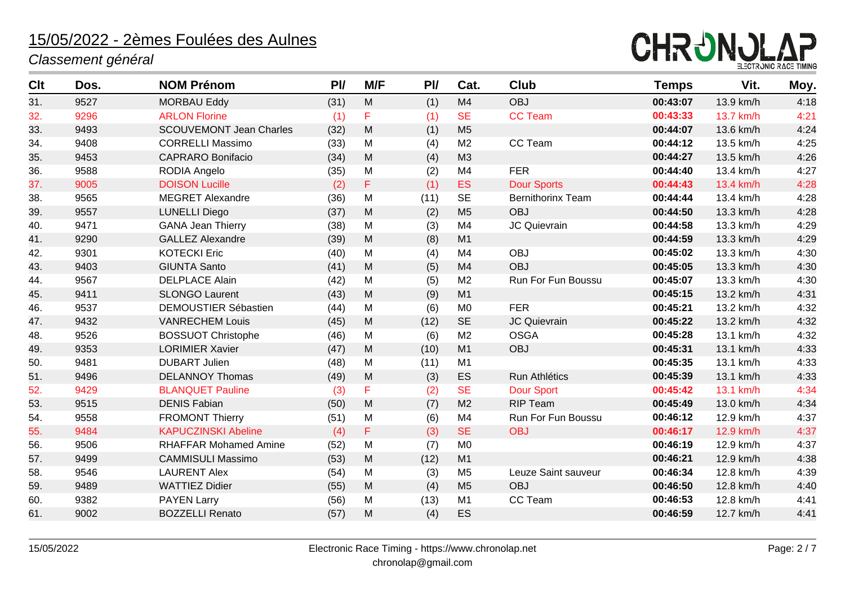

| <b>Clt</b> | Dos. | <b>NOM Prénom</b>              | P <sub>U</sub> | M/F       | PI   | Cat.           | Club                     | <b>Temps</b> | Vit.      | Moy. |
|------------|------|--------------------------------|----------------|-----------|------|----------------|--------------------------|--------------|-----------|------|
| 31.        | 9527 | <b>MORBAU Eddy</b>             | (31)           | M         | (1)  | M4             | <b>OBJ</b>               | 00:43:07     | 13.9 km/h | 4:18 |
| 32.        | 9296 | <b>ARLON Florine</b>           | (1)            | F         | (1)  | <b>SE</b>      | <b>CC Team</b>           | 00:43:33     | 13.7 km/h | 4:21 |
| 33.        | 9493 | <b>SCOUVEMONT Jean Charles</b> | (32)           | M         | (1)  | M <sub>5</sub> |                          | 00:44:07     | 13.6 km/h | 4:24 |
| 34.        | 9408 | <b>CORRELLI Massimo</b>        | (33)           | M         | (4)  | M <sub>2</sub> | CC Team                  | 00:44:12     | 13.5 km/h | 4:25 |
| 35.        | 9453 | <b>CAPRARO Bonifacio</b>       | (34)           | M         | (4)  | M <sub>3</sub> |                          | 00:44:27     | 13.5 km/h | 4:26 |
| 36.        | 9588 | RODIA Angelo                   | (35)           | M         | (2)  | M <sub>4</sub> | <b>FER</b>               | 00:44:40     | 13.4 km/h | 4:27 |
| 37.        | 9005 | <b>DOISON Lucille</b>          | (2)            | F         | (1)  | <b>ES</b>      | <b>Dour Sports</b>       | 00:44:43     | 13.4 km/h | 4:28 |
| 38.        | 9565 | <b>MEGRET Alexandre</b>        | (36)           | M         | (11) | <b>SE</b>      | <b>Bernithorinx Team</b> | 00:44:44     | 13.4 km/h | 4:28 |
| 39.        | 9557 | <b>LUNELLI Diego</b>           | (37)           | M         | (2)  | M <sub>5</sub> | <b>OBJ</b>               | 00:44:50     | 13.3 km/h | 4:28 |
| 40.        | 9471 | <b>GANA Jean Thierry</b>       | (38)           | M         | (3)  | M <sub>4</sub> | JC Quievrain             | 00:44:58     | 13.3 km/h | 4:29 |
| 41.        | 9290 | <b>GALLEZ Alexandre</b>        | (39)           | M         | (8)  | M1             |                          | 00:44:59     | 13.3 km/h | 4:29 |
| 42.        | 9301 | <b>KOTECKI Eric</b>            | (40)           | ${\sf M}$ | (4)  | M4             | <b>OBJ</b>               | 00:45:02     | 13.3 km/h | 4:30 |
| 43.        | 9403 | <b>GIUNTA Santo</b>            | (41)           | ${\sf M}$ | (5)  | M4             | <b>OBJ</b>               | 00:45:05     | 13.3 km/h | 4:30 |
| 44.        | 9567 | <b>DELPLACE Alain</b>          | (42)           | M         | (5)  | M <sub>2</sub> | Run For Fun Boussu       | 00:45:07     | 13.3 km/h | 4:30 |
| 45.        | 9411 | <b>SLONGO Laurent</b>          | (43)           | M         | (9)  | M1             |                          | 00:45:15     | 13.2 km/h | 4:31 |
| 46.        | 9537 | <b>DEMOUSTIER Sébastien</b>    | (44)           | M         | (6)  | M <sub>0</sub> | <b>FER</b>               | 00:45:21     | 13.2 km/h | 4:32 |
| 47.        | 9432 | <b>VANRECHEM Louis</b>         | (45)           | M         | (12) | <b>SE</b>      | <b>JC Quievrain</b>      | 00:45:22     | 13.2 km/h | 4:32 |
| 48.        | 9526 | <b>BOSSUOT Christophe</b>      | (46)           | M         | (6)  | M <sub>2</sub> | <b>OSGA</b>              | 00:45:28     | 13.1 km/h | 4:32 |
| 49.        | 9353 | <b>LORIMIER Xavier</b>         | (47)           | M         | (10) | M1             | <b>OBJ</b>               | 00:45:31     | 13.1 km/h | 4:33 |
| 50.        | 9481 | <b>DUBART Julien</b>           | (48)           | M         | (11) | M1             |                          | 00:45:35     | 13.1 km/h | 4:33 |
| 51.        | 9496 | <b>DELANNOY Thomas</b>         | (49)           | M         | (3)  | ES             | Run Athlétics            | 00:45:39     | 13.1 km/h | 4:33 |
| 52.        | 9429 | <b>BLANQUET Pauline</b>        | (3)            | F         | (2)  | <b>SE</b>      | <b>Dour Sport</b>        | 00:45:42     | 13.1 km/h | 4:34 |
| 53.        | 9515 | <b>DENIS Fabian</b>            | (50)           | M         | (7)  | M <sub>2</sub> | <b>RIP Team</b>          | 00:45:49     | 13.0 km/h | 4:34 |
| 54.        | 9558 | <b>FROMONT Thierry</b>         | (51)           | ${\sf M}$ | (6)  | M4             | Run For Fun Boussu       | 00:46:12     | 12.9 km/h | 4:37 |
| 55.        | 9484 | <b>KAPUCZINSKI Abeline</b>     | (4)            | F         | (3)  | <b>SE</b>      | <b>OBJ</b>               | 00:46:17     | 12.9 km/h | 4:37 |
| 56.        | 9506 | <b>RHAFFAR Mohamed Amine</b>   | (52)           | M         | (7)  | M <sub>0</sub> |                          | 00:46:19     | 12.9 km/h | 4:37 |
| 57.        | 9499 | <b>CAMMISULI Massimo</b>       | (53)           | M         | (12) | M1             |                          | 00:46:21     | 12.9 km/h | 4:38 |
| 58.        | 9546 | <b>LAURENT Alex</b>            | (54)           | M         | (3)  | M <sub>5</sub> | Leuze Saint sauveur      | 00:46:34     | 12.8 km/h | 4:39 |
| 59.        | 9489 | <b>WATTIEZ Didier</b>          | (55)           | M         | (4)  | M <sub>5</sub> | <b>OBJ</b>               | 00:46:50     | 12.8 km/h | 4:40 |
| 60.        | 9382 | <b>PAYEN Larry</b>             | (56)           | M         | (13) | M1             | CC Team                  | 00:46:53     | 12.8 km/h | 4:41 |
| 61.        | 9002 | <b>BOZZELLI Renato</b>         | (57)           | M         | (4)  | ES             |                          | 00:46:59     | 12.7 km/h | 4:41 |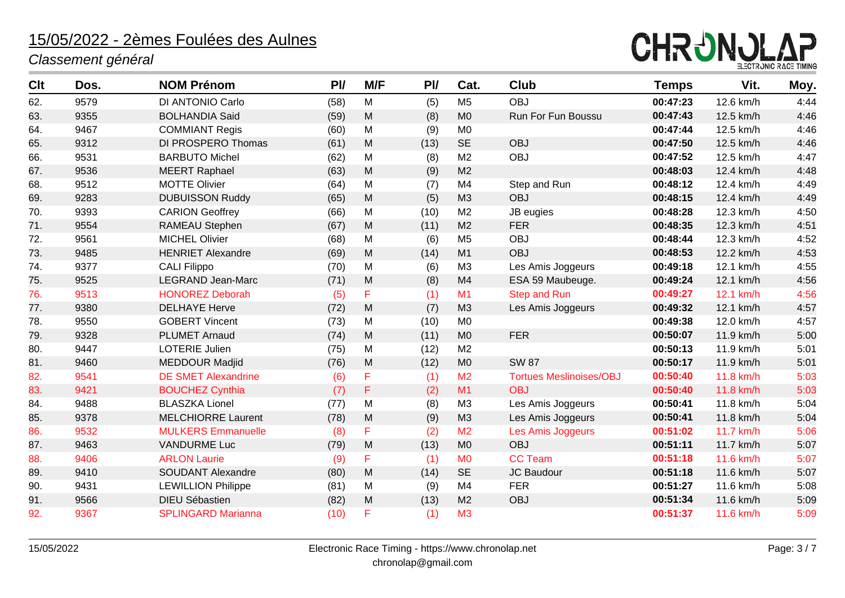

| Clt | Dos. | <b>NOM Prénom</b>          | P <sub>U</sub> | M/F       | P <sub>U</sub> | Cat.           | <b>Club</b>                    | <b>Temps</b> | Vit.      | Moy. |
|-----|------|----------------------------|----------------|-----------|----------------|----------------|--------------------------------|--------------|-----------|------|
| 62. | 9579 | DI ANTONIO Carlo           | (58)           | M         | (5)            | M <sub>5</sub> | <b>OBJ</b>                     | 00:47:23     | 12.6 km/h | 4:44 |
| 63. | 9355 | <b>BOLHANDIA Said</b>      | (59)           | M         | (8)            | M <sub>0</sub> | Run For Fun Boussu             | 00:47:43     | 12.5 km/h | 4:46 |
| 64. | 9467 | <b>COMMIANT Regis</b>      | (60)           | M         | (9)            | M <sub>0</sub> |                                | 00:47:44     | 12.5 km/h | 4:46 |
| 65. | 9312 | DI PROSPERO Thomas         | (61)           | M         | (13)           | <b>SE</b>      | <b>OBJ</b>                     | 00:47:50     | 12.5 km/h | 4:46 |
| 66. | 9531 | <b>BARBUTO Michel</b>      | (62)           | M         | (8)            | M <sub>2</sub> | <b>OBJ</b>                     | 00:47:52     | 12.5 km/h | 4:47 |
| 67. | 9536 | <b>MEERT Raphael</b>       | (63)           | M         | (9)            | M <sub>2</sub> |                                | 00:48:03     | 12.4 km/h | 4:48 |
| 68. | 9512 | <b>MOTTE Olivier</b>       | (64)           | M         | (7)            | M <sub>4</sub> | Step and Run                   | 00:48:12     | 12.4 km/h | 4:49 |
| 69. | 9283 | <b>DUBUISSON Ruddy</b>     | (65)           | M         | (5)            | M3             | <b>OBJ</b>                     | 00:48:15     | 12.4 km/h | 4:49 |
| 70. | 9393 | <b>CARION Geoffrey</b>     | (66)           | M         | (10)           | M <sub>2</sub> | JB eugies                      | 00:48:28     | 12.3 km/h | 4:50 |
| 71. | 9554 | RAMEAU Stephen             | (67)           | ${\sf M}$ | (11)           | M <sub>2</sub> | <b>FER</b>                     | 00:48:35     | 12.3 km/h | 4:51 |
| 72. | 9561 | <b>MICHEL Olivier</b>      | (68)           | M         | (6)            | M <sub>5</sub> | <b>OBJ</b>                     | 00:48:44     | 12.3 km/h | 4:52 |
| 73. | 9485 | <b>HENRIET Alexandre</b>   | (69)           | M         | (14)           | M1             | <b>OBJ</b>                     | 00:48:53     | 12.2 km/h | 4:53 |
| 74. | 9377 | <b>CALI Filippo</b>        | (70)           | M         | (6)            | M3             | Les Amis Joggeurs              | 00:49:18     | 12.1 km/h | 4:55 |
| 75. | 9525 | <b>LEGRAND Jean-Marc</b>   | (71)           | M         | (8)            | M <sub>4</sub> | ESA 59 Maubeuge.               | 00:49:24     | 12.1 km/h | 4:56 |
| 76. | 9513 | <b>HONOREZ Deborah</b>     | (5)            | F         | (1)            | M <sub>1</sub> | <b>Step and Run</b>            | 00:49:27     | 12.1 km/h | 4:56 |
| 77. | 9380 | <b>DELHAYE Herve</b>       | (72)           | M         | (7)            | M <sub>3</sub> | Les Amis Joggeurs              | 00:49:32     | 12.1 km/h | 4:57 |
| 78. | 9550 | <b>GOBERT Vincent</b>      | (73)           | M         | (10)           | M <sub>0</sub> |                                | 00:49:38     | 12.0 km/h | 4:57 |
| 79. | 9328 | <b>PLUMET Arnaud</b>       | (74)           | M         | (11)           | M <sub>0</sub> | <b>FER</b>                     | 00:50:07     | 11.9 km/h | 5:00 |
| 80. | 9447 | LOTERIE Julien             | (75)           | M         | (12)           | M <sub>2</sub> |                                | 00:50:13     | 11.9 km/h | 5:01 |
| 81. | 9460 | <b>MEDDOUR Madjid</b>      | (76)           | M         | (12)           | M <sub>0</sub> | <b>SW 87</b>                   | 00:50:17     | 11.9 km/h | 5:01 |
| 82. | 9541 | <b>DE SMET Alexandrine</b> | (6)            | F         | (1)            | M <sub>2</sub> | <b>Tortues Meslinoises/OBJ</b> | 00:50:40     | 11.8 km/h | 5:03 |
| 83. | 9421 | <b>BOUCHEZ Cynthia</b>     | (7)            | F         | (2)            | M1             | <b>OBJ</b>                     | 00:50:40     | 11.8 km/h | 5:03 |
| 84. | 9488 | <b>BLASZKA Lionel</b>      | (77)           | M         | (8)            | M <sub>3</sub> | Les Amis Joggeurs              | 00:50:41     | 11.8 km/h | 5:04 |
| 85. | 9378 | <b>MELCHIORRE Laurent</b>  | (78)           | M         | (9)            | M <sub>3</sub> | Les Amis Joggeurs              | 00:50:41     | 11.8 km/h | 5:04 |
| 86. | 9532 | <b>MULKERS Emmanuelle</b>  | (8)            | F         | (2)            | M <sub>2</sub> | Les Amis Joggeurs              | 00:51:02     | 11.7 km/h | 5:06 |
| 87. | 9463 | <b>VANDURME Luc</b>        | (79)           | M         | (13)           | M <sub>0</sub> | <b>OBJ</b>                     | 00:51:11     | 11.7 km/h | 5:07 |
| 88. | 9406 | <b>ARLON Laurie</b>        | (9)            | F         | (1)            | <b>MO</b>      | <b>CC Team</b>                 | 00:51:18     | 11.6 km/h | 5:07 |
| 89. | 9410 | <b>SOUDANT Alexandre</b>   | (80)           | M         | (14)           | <b>SE</b>      | JC Baudour                     | 00:51:18     | 11.6 km/h | 5:07 |
| 90. | 9431 | <b>LEWILLION Philippe</b>  | (81)           | M         | (9)            | M <sub>4</sub> | <b>FER</b>                     | 00:51:27     | 11.6 km/h | 5:08 |
| 91. | 9566 | <b>DIEU Sébastien</b>      | (82)           | M         | (13)           | M <sub>2</sub> | <b>OBJ</b>                     | 00:51:34     | 11.6 km/h | 5:09 |
| 92. | 9367 | <b>SPLINGARD Marianna</b>  | (10)           | F         | (1)            | M <sub>3</sub> |                                | 00:51:37     | 11.6 km/h | 5:09 |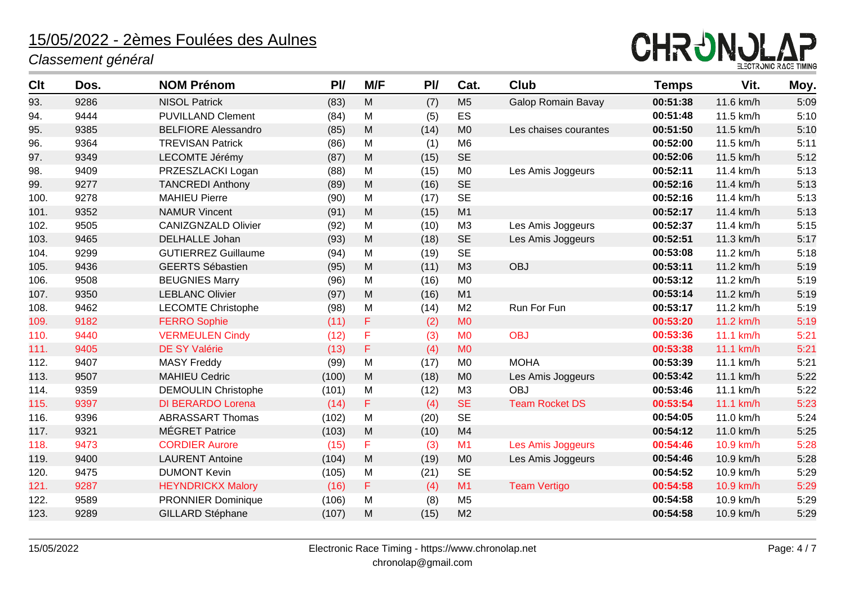

| <b>Clt</b> | Dos. | <b>NOM Prénom</b>          | P <sub>U</sub> | M/F       | PI   | Cat.           | <b>Club</b>               | <b>Temps</b> | Vit.      | Moy. |
|------------|------|----------------------------|----------------|-----------|------|----------------|---------------------------|--------------|-----------|------|
| 93.        | 9286 | <b>NISOL Patrick</b>       | (83)           | M         | (7)  | M <sub>5</sub> | <b>Galop Romain Bavay</b> | 00:51:38     | 11.6 km/h | 5:09 |
| 94.        | 9444 | <b>PUVILLAND Clement</b>   | (84)           | M         | (5)  | ES             |                           | 00:51:48     | 11.5 km/h | 5:10 |
| 95.        | 9385 | <b>BELFIORE Alessandro</b> | (85)           | M         | (14) | M <sub>0</sub> | Les chaises courantes     | 00:51:50     | 11.5 km/h | 5:10 |
| 96.        | 9364 | <b>TREVISAN Patrick</b>    | (86)           | M         | (1)  | M <sub>6</sub> |                           | 00:52:00     | 11.5 km/h | 5:11 |
| 97.        | 9349 | LECOMTE Jérémy             | (87)           | M         | (15) | <b>SE</b>      |                           | 00:52:06     | 11.5 km/h | 5:12 |
| 98.        | 9409 | PRZESZLACKI Logan          | (88)           | M         | (15) | M <sub>0</sub> | Les Amis Joggeurs         | 00:52:11     | 11.4 km/h | 5:13 |
| 99.        | 9277 | <b>TANCREDI Anthony</b>    | (89)           | M         | (16) | <b>SE</b>      |                           | 00:52:16     | 11.4 km/h | 5:13 |
| 100.       | 9278 | <b>MAHIEU Pierre</b>       | (90)           | M         | (17) | <b>SE</b>      |                           | 00:52:16     | 11.4 km/h | 5:13 |
| 101.       | 9352 | <b>NAMUR Vincent</b>       | (91)           | M         | (15) | M1             |                           | 00:52:17     | 11.4 km/h | 5:13 |
| 102.       | 9505 | <b>CANIZGNZALD Olivier</b> | (92)           | M         | (10) | M3             | Les Amis Joggeurs         | 00:52:37     | 11.4 km/h | 5:15 |
| 103.       | 9465 | <b>DELHALLE Johan</b>      | (93)           | M         | (18) | <b>SE</b>      | Les Amis Joggeurs         | 00:52:51     | 11.3 km/h | 5:17 |
| 104.       | 9299 | <b>GUTIERREZ Guillaume</b> | (94)           | M         | (19) | <b>SE</b>      |                           | 00:53:08     | 11.2 km/h | 5:18 |
| 105.       | 9436 | <b>GEERTS Sébastien</b>    | (95)           | ${\sf M}$ | (11) | M3             | <b>OBJ</b>                | 00:53:11     | 11.2 km/h | 5:19 |
| 106.       | 9508 | <b>BEUGNIES Marry</b>      | (96)           | M         | (16) | M <sub>0</sub> |                           | 00:53:12     | 11.2 km/h | 5:19 |
| 107.       | 9350 | <b>LEBLANC Olivier</b>     | (97)           | M         | (16) | M1             |                           | 00:53:14     | 11.2 km/h | 5:19 |
| 108.       | 9462 | <b>LECOMTE Christophe</b>  | (98)           | M         | (14) | M <sub>2</sub> | Run For Fun               | 00:53:17     | 11.2 km/h | 5:19 |
| 109.       | 9182 | <b>FERRO Sophie</b>        | (11)           | F         | (2)  | <b>MO</b>      |                           | 00:53:20     | 11.2 km/h | 5:19 |
| 110.       | 9440 | <b>VERMEULEN Cindy</b>     | (12)           | F         | (3)  | <b>MO</b>      | <b>OBJ</b>                | 00:53:36     | 11.1 km/h | 5:21 |
| 111.       | 9405 | <b>DE SY Valérie</b>       | (13)           | F         | (4)  | <b>MO</b>      |                           | 00:53:38     | 11.1 km/h | 5:21 |
| 112.       | 9407 | <b>MASY Freddy</b>         | (99)           | M         | (17) | M <sub>0</sub> | <b>MOHA</b>               | 00:53:39     | 11.1 km/h | 5:21 |
| 113.       | 9507 | <b>MAHIEU Cedric</b>       | (100)          | M         | (18) | M <sub>0</sub> | Les Amis Joggeurs         | 00:53:42     | 11.1 km/h | 5:22 |
| 114.       | 9359 | <b>DEMOULIN Christophe</b> | (101)          | M         | (12) | M3             | <b>OBJ</b>                | 00:53:46     | 11.1 km/h | 5:22 |
| 115.       | 9397 | <b>DI BERARDO Lorena</b>   | (14)           | F         | (4)  | <b>SE</b>      | <b>Team Rocket DS</b>     | 00:53:54     | 11.1 km/h | 5:23 |
| 116.       | 9396 | <b>ABRASSART Thomas</b>    | (102)          | M         | (20) | <b>SE</b>      |                           | 00:54:05     | 11.0 km/h | 5:24 |
| 117.       | 9321 | <b>MÉGRET Patrice</b>      | (103)          | ${\sf M}$ | (10) | M4             |                           | 00:54:12     | 11.0 km/h | 5:25 |
| 118.       | 9473 | <b>CORDIER Aurore</b>      | (15)           | F         | (3)  | M1             | Les Amis Joggeurs         | 00:54:46     | 10.9 km/h | 5:28 |
| 119.       | 9400 | <b>LAURENT Antoine</b>     | (104)          | M         | (19) | M <sub>0</sub> | Les Amis Joggeurs         | 00:54:46     | 10.9 km/h | 5:28 |
| 120.       | 9475 | <b>DUMONT Kevin</b>        | (105)          | M         | (21) | <b>SE</b>      |                           | 00:54:52     | 10.9 km/h | 5:29 |
| 121.       | 9287 | <b>HEYNDRICKX Malory</b>   | (16)           | F         | (4)  | M1             | <b>Team Vertigo</b>       | 00:54:58     | 10.9 km/h | 5:29 |
| 122.       | 9589 | <b>PRONNIER Dominique</b>  | (106)          | M         | (8)  | M <sub>5</sub> |                           | 00:54:58     | 10.9 km/h | 5:29 |
| 123.       | 9289 | <b>GILLARD Stéphane</b>    | (107)          | M         | (15) | M <sub>2</sub> |                           | 00:54:58     | 10.9 km/h | 5:29 |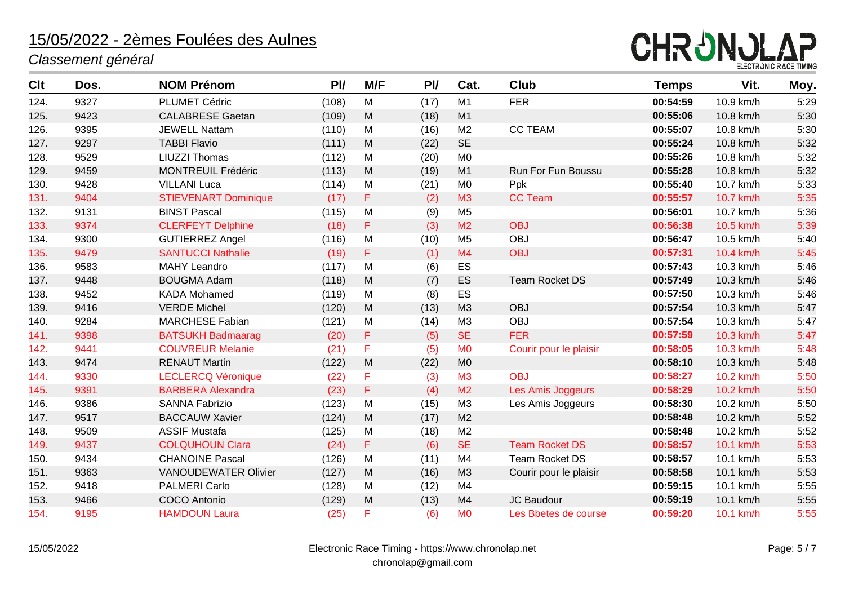

| <b>Clt</b> | Dos. | <b>NOM Prénom</b>           | P <sub>U</sub> | M/F       | PI/  | Cat.           | <b>Club</b>            | <b>Temps</b> | Vit.      | Moy. |
|------------|------|-----------------------------|----------------|-----------|------|----------------|------------------------|--------------|-----------|------|
| 124.       | 9327 | <b>PLUMET Cédric</b>        | (108)          | M         | (17) | M1             | <b>FER</b>             | 00:54:59     | 10.9 km/h | 5:29 |
| 125.       | 9423 | <b>CALABRESE Gaetan</b>     | (109)          | M         | (18) | M1             |                        | 00:55:06     | 10.8 km/h | 5:30 |
| 126.       | 9395 | <b>JEWELL Nattam</b>        | (110)          | M         | (16) | M <sub>2</sub> | <b>CC TEAM</b>         | 00:55:07     | 10.8 km/h | 5:30 |
| 127.       | 9297 | <b>TABBI Flavio</b>         | (111)          | M         | (22) | <b>SE</b>      |                        | 00:55:24     | 10.8 km/h | 5:32 |
| 128.       | 9529 | <b>LIUZZI Thomas</b>        | (112)          | M         | (20) | M <sub>0</sub> |                        | 00:55:26     | 10.8 km/h | 5:32 |
| 129.       | 9459 | <b>MONTREUIL Frédéric</b>   | (113)          | ${\sf M}$ | (19) | M1             | Run For Fun Boussu     | 00:55:28     | 10.8 km/h | 5:32 |
| 130.       | 9428 | <b>VILLANI Luca</b>         | (114)          | M         | (21) | M <sub>0</sub> | Ppk                    | 00:55:40     | 10.7 km/h | 5:33 |
| 131.       | 9404 | <b>STIEVENART Dominique</b> | (17)           | F         | (2)  | M3             | <b>CC Team</b>         | 00:55:57     | 10.7 km/h | 5:35 |
| 132.       | 9131 | <b>BINST Pascal</b>         | (115)          | M         | (9)  | M <sub>5</sub> |                        | 00:56:01     | 10.7 km/h | 5:36 |
| 133.       | 9374 | <b>CLERFEYT Delphine</b>    | (18)           | F         | (3)  | M <sub>2</sub> | <b>OBJ</b>             | 00:56:38     | 10.5 km/h | 5:39 |
| 134.       | 9300 | <b>GUTIERREZ Angel</b>      | (116)          | M         | (10) | M <sub>5</sub> | <b>OBJ</b>             | 00:56:47     | 10.5 km/h | 5:40 |
| 135.       | 9479 | <b>SANTUCCI Nathalie</b>    | (19)           | F         | (1)  | M <sub>4</sub> | <b>OBJ</b>             | 00:57:31     | 10.4 km/h | 5:45 |
| 136.       | 9583 | <b>MAHY Leandro</b>         | (117)          | M         | (6)  | ES             |                        | 00:57:43     | 10.3 km/h | 5:46 |
| 137.       | 9448 | <b>BOUGMA Adam</b>          | (118)          | M         | (7)  | ES             | <b>Team Rocket DS</b>  | 00:57:49     | 10.3 km/h | 5:46 |
| 138.       | 9452 | <b>KADA Mohamed</b>         | (119)          | M         | (8)  | ES             |                        | 00:57:50     | 10.3 km/h | 5:46 |
| 139.       | 9416 | <b>VERDE Michel</b>         | (120)          | M         | (13) | M <sub>3</sub> | <b>OBJ</b>             | 00:57:54     | 10.3 km/h | 5:47 |
| 140.       | 9284 | <b>MARCHESE Fabian</b>      | (121)          | M         | (14) | M <sub>3</sub> | <b>OBJ</b>             | 00:57:54     | 10.3 km/h | 5:47 |
| 141.       | 9398 | <b>BATSUKH Badmaarag</b>    | (20)           | F         | (5)  | <b>SE</b>      | <b>FER</b>             | 00:57:59     | 10.3 km/h | 5:47 |
| 142.       | 9441 | <b>COUVREUR Melanie</b>     | (21)           | F         | (5)  | M <sub>0</sub> | Courir pour le plaisir | 00:58:05     | 10.3 km/h | 5:48 |
| 143.       | 9474 | <b>RENAUT Martin</b>        | (122)          | M         | (22) | M <sub>0</sub> |                        | 00:58:10     | 10.3 km/h | 5:48 |
| 144.       | 9330 | <b>LECLERCQ Véronique</b>   | (22)           | F         | (3)  | M <sub>3</sub> | <b>OBJ</b>             | 00:58:27     | 10.2 km/h | 5:50 |
| 145.       | 9391 | <b>BARBERA Alexandra</b>    | (23)           | F         | (4)  | M <sub>2</sub> | Les Amis Joggeurs      | 00:58:29     | 10.2 km/h | 5:50 |
| 146.       | 9386 | <b>SANNA Fabrizio</b>       | (123)          | M         | (15) | M3             | Les Amis Joggeurs      | 00:58:30     | 10.2 km/h | 5:50 |
| 147.       | 9517 | <b>BACCAUW Xavier</b>       | (124)          | M         | (17) | M <sub>2</sub> |                        | 00:58:48     | 10.2 km/h | 5:52 |
| 148.       | 9509 | <b>ASSIF Mustafa</b>        | (125)          | M         | (18) | M <sub>2</sub> |                        | 00:58:48     | 10.2 km/h | 5:52 |
| 149.       | 9437 | <b>COLQUHOUN Clara</b>      | (24)           | F         | (6)  | <b>SE</b>      | <b>Team Rocket DS</b>  | 00:58:57     | 10.1 km/h | 5:53 |
| 150.       | 9434 | <b>CHANOINE Pascal</b>      | (126)          | M         | (11) | M <sub>4</sub> | <b>Team Rocket DS</b>  | 00:58:57     | 10.1 km/h | 5:53 |
| 151.       | 9363 | <b>VANOUDEWATER Olivier</b> | (127)          | M         | (16) | M <sub>3</sub> | Courir pour le plaisir | 00:58:58     | 10.1 km/h | 5:53 |
| 152.       | 9418 | <b>PALMERI Carlo</b>        | (128)          | M         | (12) | M <sub>4</sub> |                        | 00:59:15     | 10.1 km/h | 5:55 |
| 153.       | 9466 | <b>COCO</b> Antonio         | (129)          | M         | (13) | M <sub>4</sub> | <b>JC Baudour</b>      | 00:59:19     | 10.1 km/h | 5:55 |
| 154.       | 9195 | <b>HAMDOUN Laura</b>        | (25)           | F         | (6)  | M <sub>0</sub> | Les Bbetes de course   | 00:59:20     | 10.1 km/h | 5:55 |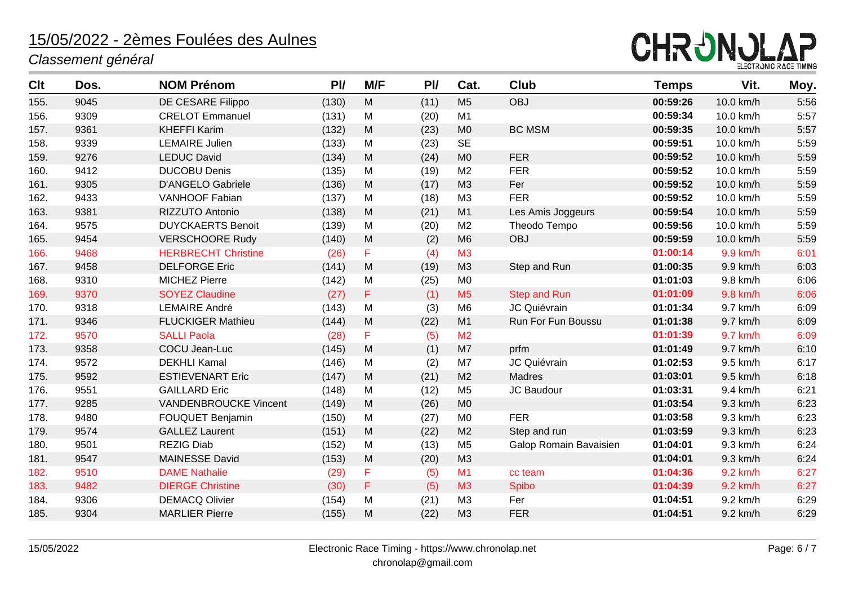

| Clt  | Dos. | <b>NOM Prénom</b>            | P <sub>U</sub> | M/F                                                                                                        | PI   | Cat.           | <b>Club</b>            | <b>Temps</b> | Vit.      | Moy. |
|------|------|------------------------------|----------------|------------------------------------------------------------------------------------------------------------|------|----------------|------------------------|--------------|-----------|------|
| 155. | 9045 | DE CESARE Filippo            | (130)          | M                                                                                                          | (11) | M <sub>5</sub> | <b>OBJ</b>             | 00:59:26     | 10.0 km/h | 5:56 |
| 156. | 9309 | <b>CRELOT Emmanuel</b>       | (131)          | M                                                                                                          | (20) | M1             |                        | 00:59:34     | 10.0 km/h | 5:57 |
| 157. | 9361 | <b>KHEFFI Karim</b>          | (132)          | ${\sf M}$                                                                                                  | (23) | M <sub>0</sub> | <b>BC MSM</b>          | 00:59:35     | 10.0 km/h | 5:57 |
| 158. | 9339 | <b>LEMAIRE Julien</b>        | (133)          | M                                                                                                          | (23) | <b>SE</b>      |                        | 00:59:51     | 10.0 km/h | 5:59 |
| 159. | 9276 | <b>LEDUC David</b>           | (134)          | M                                                                                                          | (24) | M <sub>0</sub> | <b>FER</b>             | 00:59:52     | 10.0 km/h | 5:59 |
| 160. | 9412 | <b>DUCOBU Denis</b>          | (135)          | M                                                                                                          | (19) | M <sub>2</sub> | <b>FER</b>             | 00:59:52     | 10.0 km/h | 5:59 |
| 161. | 9305 | <b>D'ANGELO Gabriele</b>     | (136)          | M                                                                                                          | (17) | M <sub>3</sub> | Fer                    | 00:59:52     | 10.0 km/h | 5:59 |
| 162. | 9433 | <b>VANHOOF Fabian</b>        | (137)          | M                                                                                                          | (18) | M <sub>3</sub> | <b>FER</b>             | 00:59:52     | 10.0 km/h | 5:59 |
| 163. | 9381 | RIZZUTO Antonio              | (138)          | M                                                                                                          | (21) | M1             | Les Amis Joggeurs      | 00:59:54     | 10.0 km/h | 5:59 |
| 164. | 9575 | <b>DUYCKAERTS Benoit</b>     | (139)          | M                                                                                                          | (20) | M <sub>2</sub> | Theodo Tempo           | 00:59:56     | 10.0 km/h | 5:59 |
| 165. | 9454 | <b>VERSCHOORE Rudy</b>       | (140)          | ${\sf M}$                                                                                                  | (2)  | M <sub>6</sub> | <b>OBJ</b>             | 00:59:59     | 10.0 km/h | 5:59 |
| 166. | 9468 | <b>HERBRECHT Christine</b>   | (26)           | F                                                                                                          | (4)  | M <sub>3</sub> |                        | 01:00:14     | 9.9 km/h  | 6:01 |
| 167. | 9458 | <b>DELFORGE Eric</b>         | (141)          | $\mathsf{M}% _{T}=\mathsf{M}_{T}\!\left( a,b\right) ,\ \mathsf{M}_{T}=\mathsf{M}_{T}\!\left( a,b\right) ,$ | (19) | M <sub>3</sub> | Step and Run           | 01:00:35     | 9.9 km/h  | 6:03 |
| 168. | 9310 | <b>MICHEZ Pierre</b>         | (142)          | M                                                                                                          | (25) | M <sub>0</sub> |                        | 01:01:03     | 9.8 km/h  | 6:06 |
| 169. | 9370 | <b>SOYEZ Claudine</b>        | (27)           | F                                                                                                          | (1)  | M <sub>5</sub> | <b>Step and Run</b>    | 01:01:09     | 9.8 km/h  | 6:06 |
| 170. | 9318 | <b>LEMAIRE André</b>         | (143)          | M                                                                                                          | (3)  | M <sub>6</sub> | JC Quiévrain           | 01:01:34     | 9.7 km/h  | 6:09 |
| 171. | 9346 | <b>FLUCKIGER Mathieu</b>     | (144)          | M                                                                                                          | (22) | M1             | Run For Fun Boussu     | 01:01:38     | 9.7 km/h  | 6:09 |
| 172. | 9570 | <b>SALLI Paola</b>           | (28)           | F                                                                                                          | (5)  | M <sub>2</sub> |                        | 01:01:39     | 9.7 km/h  | 6:09 |
| 173. | 9358 | COCU Jean-Luc                | (145)          | $\mathsf{M}% _{T}=\mathsf{M}_{T}\!\left( a,b\right) ,\ \mathsf{M}_{T}=\mathsf{M}_{T}\!\left( a,b\right) ,$ | (1)  | M7             | prfm                   | 01:01:49     | 9.7 km/h  | 6:10 |
| 174. | 9572 | <b>DEKHLI Kamal</b>          | (146)          | M                                                                                                          | (2)  | M7             | JC Quiévrain           | 01:02:53     | 9.5 km/h  | 6:17 |
| 175. | 9592 | <b>ESTIEVENART Eric</b>      | (147)          | M                                                                                                          | (21) | M <sub>2</sub> | <b>Madres</b>          | 01:03:01     | 9.5 km/h  | 6:18 |
| 176. | 9551 | <b>GAILLARD Eric</b>         | (148)          | M                                                                                                          | (12) | M <sub>5</sub> | JC Baudour             | 01:03:31     | 9.4 km/h  | 6:21 |
| 177. | 9285 | <b>VANDENBROUCKE Vincent</b> | (149)          | M                                                                                                          | (26) | M <sub>0</sub> |                        | 01:03:54     | 9.3 km/h  | 6:23 |
| 178. | 9480 | <b>FOUQUET Benjamin</b>      | (150)          | M                                                                                                          | (27) | M <sub>0</sub> | <b>FER</b>             | 01:03:58     | 9.3 km/h  | 6:23 |
| 179. | 9574 | <b>GALLEZ Laurent</b>        | (151)          | ${\sf M}$                                                                                                  | (22) | M <sub>2</sub> | Step and run           | 01:03:59     | 9.3 km/h  | 6:23 |
| 180. | 9501 | <b>REZIG Diab</b>            | (152)          | M                                                                                                          | (13) | M <sub>5</sub> | Galop Romain Bavaisien | 01:04:01     | 9.3 km/h  | 6:24 |
| 181. | 9547 | <b>MAINESSE David</b>        | (153)          | M                                                                                                          | (20) | M <sub>3</sub> |                        | 01:04:01     | 9.3 km/h  | 6:24 |
| 182. | 9510 | <b>DAME Nathalie</b>         | (29)           | F                                                                                                          | (5)  | M1             | cc team                | 01:04:36     | 9.2 km/h  | 6:27 |
| 183. | 9482 | <b>DIERGE Christine</b>      | (30)           | F                                                                                                          | (5)  | M3             | Spibo                  | 01:04:39     | 9.2 km/h  | 6:27 |
| 184. | 9306 | <b>DEMACQ Olivier</b>        | (154)          | M                                                                                                          | (21) | M <sub>3</sub> | Fer                    | 01:04:51     | 9.2 km/h  | 6:29 |
| 185. | 9304 | <b>MARLIER Pierre</b>        | (155)          | M                                                                                                          | (22) | M3             | <b>FER</b>             | 01:04:51     | 9.2 km/h  | 6:29 |